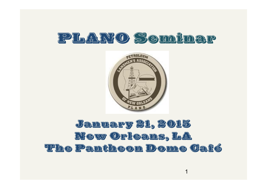



## January 21, 2015 New Orleans, LA The Pantheon Dome Café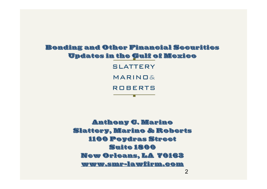### Bonding and Other Financial Securities Updates in the Gulf of Mexico

SLATTERY MARINOS **ROBERTS** 

π

Anthony C. Marino Slattery, Marino & Roberts 1100 Poydras Street Suite 1800 New Orleans, LA 70163 www.smr-lawfirm.com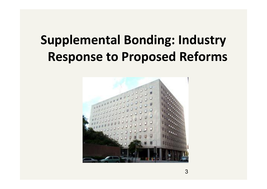# **Supplemental Bonding: Industry Response to Proposed Reforms**

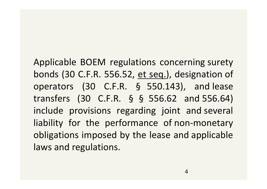Applicable BOEM regulations concerning surety bonds (30 C.F.R. 556.52, et seq.), designation of operators (30 C.F.R. § 550.143), and lease Applicable BOEM regulations concerning surety<br>bonds (30 C.F.R. 556.52, <u>et seq.</u>), designation of<br>operators (30 C.F.R. § 550.143), and lease<br>transfers (30 C.F.R. § § 556.62 and 556.64)<br>include provisions regarding joint an include provisions regarding joint and several liability for the performance of non-monetary obligations imposed by the lease and applicable laws and regulations.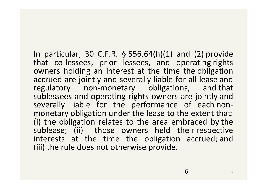In particular, 30 C.F.R. § 556.64(h)(1) and (2) provide that co-lessees, prior lessees, and operating rights owners holding an interest at the time the obligation accrued are jointly and severally liable for all lease and regulatory non-monetary obligations, and that sublessees and operating rights owners are jointly and severally liable for the performance of each nonmonetary obligation under the lease to the extent that: (i) the obligation relates to the area embraced by the sublease; (ii) those owners held their respective interests at the time the obligation accrued; and (iii) the rule does not otherwise provide.

5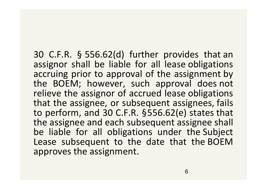30 C.F.R. § 556.62(d) further provides that an assignor shall be liable for all lease obligations accruing prior to approval of the assignment by the BOEM; however, such approval does not relieve the assignor of accrued lease obligations that the assignee, or subsequent assignees, fails to perform, and 30 C.F.R. §556.62(e) states that the assignee and each subsequent assignee shall be liable for all obligations under the Subject Lease subsequent to the date that the BOEM approves the assignment.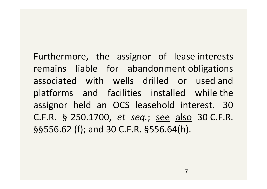Furthermore, the assignor of lease interests remains liable for abandonment obligations associated with wells drilled or used and platforms and facilities installed while the assignor held an OCS leasehold interest. 30 C.F.R. § 250.1700, *et seq.*; see also 30 C.F.R. §§556.62 (f); and 30 C.F.R. §556.64(h).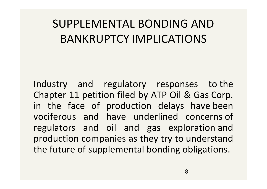# SUPPLEMENTAL BONDING AND BANKRUPTCY IMPLICATIONS

Industry and regulatory responses to the Chapter 11 petition filed by ATP Oil & Gas Corp. in the face of production delays have been vociferous and have underlined concerns of regulators and oil and gas exploration and production companies as they try to understand the future of supplemental bonding obligations.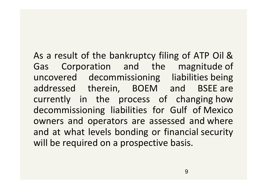As a result of the bankruptcy filing of ATP Oil & Gas Corporation and the magnitude of uncovered decommissioning liabilities being addressed therein, BOEM and BSEE are currently in the process of changing how decommissioning liabilities for Gulf of Mexico owners and operators are assessed and where and at what levels bonding or financial security will be required on a prospective basis.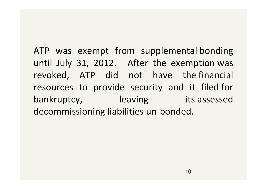ATP was exempt from supplemental bonding until July 31, 2012. After the exemption was revoked, ATP did not have the financial resources to provide security and it filed for bankruptcy, leaving its assessed decommissioning liabilities un-bonded.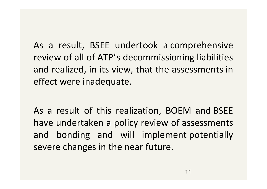As a result, BSEE undertook a comprehensive review of all of ATP's decommissioning liabilities and realized, in its view, that the assessments in effect were inadequate.

As a result of this realization, BOEM and BSEE have undertaken a policy review of assessments and bonding and will implement potentially severe changes in the near future.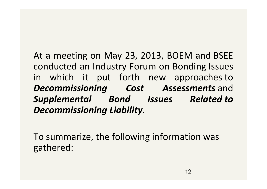At a meeting on May 23, 2013, BOEM and BSEE conducted an Industry Forum on Bonding Issues in which it put forth new approaches to *Decommissioning Cost Assessments* and *Supplemental Bond Issues Related to Decommissioning Liability*.

To summarize, the following information was gathered: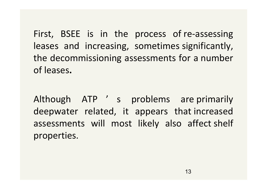First, BSEE is in the process of re-assessing leases and increasing, sometimes significantly, the decommissioning assessments for a number of leases**.**

Although ATP ' s problems are primarily deepwater related, it appears that increased assessments will most likely also affect shelf properties.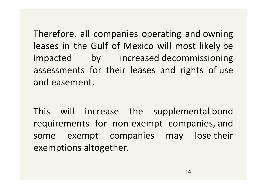Therefore, all companies operating and owning leases in the Gulf of Mexico will most likely be impacted by increased decommissioning assessments for their leases and rights of use and easement.

This will increase the supplemental bond requirements for non-exempt companies, and some exempt companies may lose their exemptions altogether.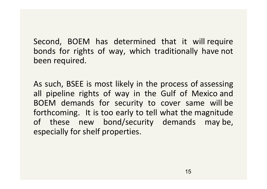Second, BOEM has determined that it will require bonds for rights of way, which traditionally have not been required.

As such, BSEE is most likely in the process of assessing all pipeline rights of way in the Gulf of Mexico and BOEM demands for security to cover same will be forthcoming. It is too early to tell what the magnitude of these new bond/security demands may be, especially for shelf properties.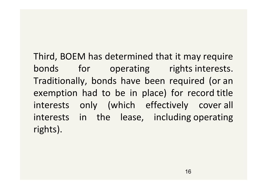Third, BOEM has determined that it may require bonds for operating rights interests. Traditionally, bonds have been required (or an exemption had to be in place) for record title interests only (which effectively cover all interests in the lease, including operating rights).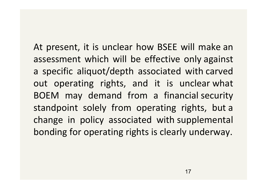At present, it is unclear how BSEE will make an assessment which will be effective only against a specific aliquot/depth associated with carved out operating rights, and it is unclear what BOEM may demand from a financial security standpoint solely from operating rights, but a change in policy associated with supplemental bonding for operating rights is clearly underway.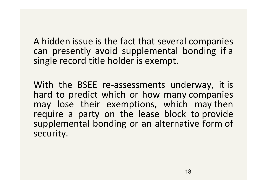A hidden issue is the fact that several companies can presently avoid supplemental bonding if a single record title holder is exempt.

With the BSEE re-assessments underway, it is hard to predict which or how many companies may lose their exemptions, which may then require a party on the lease block to provide supplemental bonding or an alternative form of security.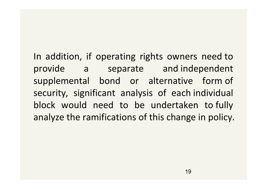In addition, if operating rights owners need to provide a separate and independent supplemental bond or alternative form of security, significant analysis of each individual block would need to be undertaken to fully analyze the ramifications of this change in policy.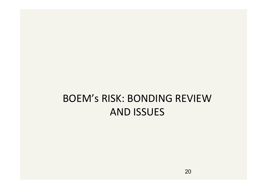# BOEM's RISK: BONDING REVIEW AND ISSUES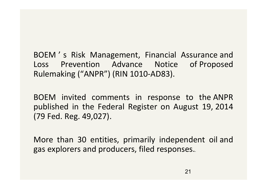BOEM ' s Risk Management, Financial Assurance and Loss Prevention Advance Notice of Proposed Rulemaking ("ANPR") (RIN 1010-AD83).

BOEM invited comments in response to the ANPR published in the Federal Register on August 19, 2014 (79 Fed. Reg. 49,027).

More than 30 entities, primarily independent oil and gas explorers and producers, filed responses.*.*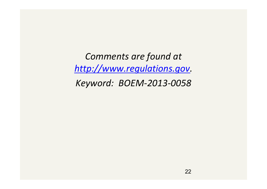*Comments are found at http://www.regulations.gov. Keyword: BOEM-2013-0058*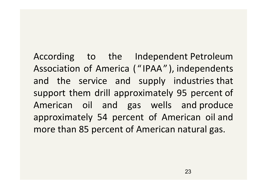According to the Independent Petroleum Association of America ( " IPAA" ), independents and the service and supply industries that support them drill approximately 95 percent of American oil and gas wells and produce approximately 54 percent of American oil and more than 85 percent of American natural gas.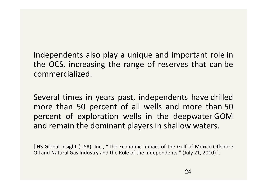Independents also play a unique and important role in the OCS, increasing the range of reserves that can be commercialized.

Several times in years past, independents have drilled more than 50 percent of all wells and more than 50 percent of exploration wells in the deepwater GOM and remain the dominant players in shallow waters.

[IHS Global Insight (USA), Inc., "The Economic Impact of the Gulf of Mexico Offshore Oil and Natural Gas Industry and the Role of the Independents," (July 21, 2010) ].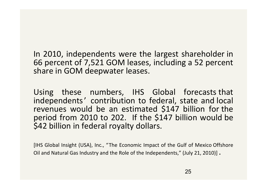In 2010, independents were the largest shareholder in 66 percent of 7,521 GOM leases, including a 52 percent share in GOM deepwater leases.

Using these numbers, IHS Global forecasts that independents' contribution to federal, state and local revenues would be an estimated \$147 billion for the period from 2010 to 202. If the \$147 billion would be \$42 billion in federal royalty dollars.

[IHS Global Insight (USA), Inc., "The Economic Impact of the Gulf of Mexico Offshore Oil and Natural Gas Industry and the Role of the Independents," (July 21, 2010)] .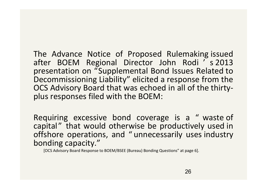The Advance Notice of Proposed Rulemaking issued after BOEM Regional Director John Rodi ' s 2013 presentation on "Supplemental Bond Issues Related to Decommissioning Liability" elicited a response from the OCS Advisory Board that was echoed in all of the thirtyplus responses filed with the BOEM:

Requiring excessive bond coverage is a " waste of capital" that would otherwise be productively used in offshore operations, and " unnecessarily uses industry bonding capacity."

[OCS Advisory Board Response to BOEM/BSEE (Bureau) Bonding Questions" at page 6].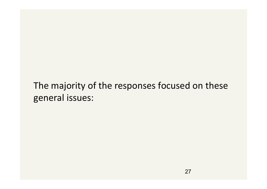## The majority of the responses focused on these general issues: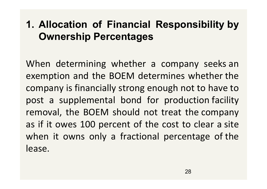## **1. Allocation of Financial Responsibility by Ownership Percentages**

When determining whether a company seeks an exemption and the BOEM determines whether the company is financially strong enough not to have to post a supplemental bond for production facility removal, the BOEM should not treat the company as if it owes 100 percent of the cost to clear a site when it owns only a fractional percentage of the lease.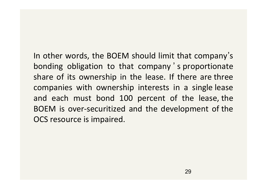In other words, the BOEM should limit that company's s bonding obligation to that company ' s proportionate share of its ownership in the lease. If there are three companies with ownership interests in a single lease and each must bond 100 percent of the lease, the BOEM is over-securitized and the development of the OCS resource is impaired.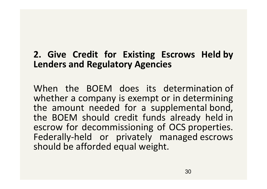### **2. Give Credit for Existing Escrows Held by Lenders and Regulatory Agencies**

When the BOEM does its determination of whether a company is exempt or in determining the amount needed for a supplemental bond, the BOEM should credit funds already held in escrow for decommissioning of OCS properties. Federally-held or privately managed escrows should be afforded equal weight.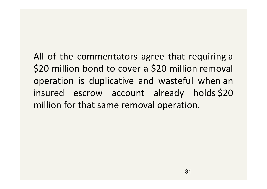All of the commentators agree that requiring a \$20 million bond to cover a \$20 million removal operation is duplicative and wasteful when an insured escrow account already holds \$20 million for that same removal operation.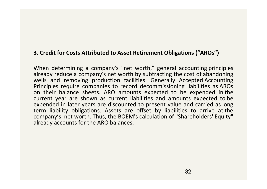#### **3. Credit for Costs Attributed to Asset Retirement Obligations ("AROs")**

When determining a company's "net worth," general accounting principles already reduce a company's net worth by subtracting the cost of abandoning wells and removing production facilities. Generally Accepted Accounting Principles require companies to record decommissioning liabilities as AROs on their balance sheets. ARO amounts expected to be expended in the current year are shown as current liabilities and amounts expected to be expended in later years are discounted to present value and carried as long term liability obligations. Assets are offset by liabilities to arrive at the company's net worth. Thus, the BOEM's calculation of "Shareholders' Equity" already accounts for the ARO balances.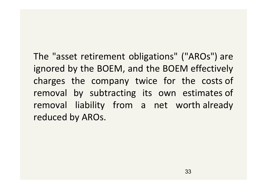The "asset retirement obligations" ("AROs") are ignored by the BOEM, and the BOEM effectively charges the company twice for the costs of removal by subtracting its own estimates of removal liability from a net worth already reduced by AROs.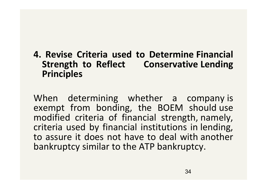### **4. Revise Criteria used to Determine Financial Strength to Reflect Conservative Lending Principles**

When determining whether a company is exempt from bonding, the BOEM should use modified criteria of financial strength, namely, criteria used by financial institutions in lending, to assure it does not have to deal with another bankruptcy similar to the ATP bankruptcy.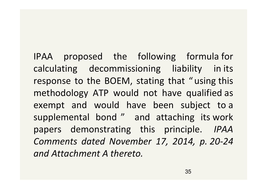IPAA proposed the following formula for calculating decommissioning liability in its response to the BOEM, stating that " using this methodology ATP would not have qualified as exempt and would have been subject to a supplemental bond " and attaching its work papers demonstrating this principle. *IPAA Comments dated November 17, 2014, p. 20-24 and Attachment A thereto.*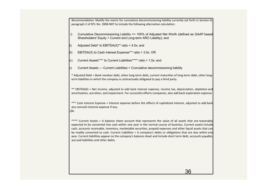*Recommendation:* Modify the metric for cumulative decommissioning liability currently set forth in Section III, paragraph 2 of NTL No. 2008-N07 to include the following alternative calculation:

- i) Cumulative Decommissioning Liability <= 100% of Adjusted Net Worth (defined as GAAP based Shareholders' Equity + Current and Long-term ARO Liability); and
- ii) Adjusted Debt\* to EBITDA(X)\*\* ratio < 4.0x; and
- iii) EBITDA(X) to Cash Interest Expense\*\*\* ratio > 3.0x. OR
- iv) Current Assets\*\*\*\* to Current Liabilities\*\*\*\*\* ratio > 1.5x; and
- v) Current Assets Current Liabilities > Cumulative decommissioning liability

\* Adjusted Debt = Bank revolver debt, other long-term debt, current maturities of long-term debt, other longterm liabilities in which the company is contractually obligated to pay a third party.

\*\* EBITDA(X) = Net income, adjusted to add back interest expense, income tax, depreciation, depletion and amortization, accretion, and impairment. For successful efforts companies, also add back exploration expense.

\*\*\* Cash Interest Expense = Interest expense before the effects of capitalized interest, adjusted to add back any noncash interest expense if any.

-24‑

\*\*\*\* Current Assets = A balance sheet account that represents the value of all assets that are reasonably expected to be converted into cash within one year in the normal course of business. Current assets include cash, accounts receivable, inventory, marketable securities, prepaid expenses and other liquid assets that can be readily converted to cash. Current Liabilities = A company's debts or obligations that are due within one year. Current liabilities appear on the company's balance sheet and include short term debt, accounts payable, accrued liabilities and other debts.

36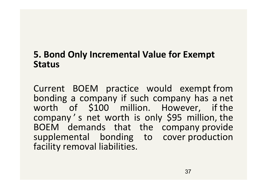### **5. Bond Only Incremental Value for Exempt Status**

Current BOEM practice would exempt from bonding a company if such company has a net worth of \$100 million. However, if the company ' s net worth is only \$95 million, the BOEM demands that the company provide supplemental bonding to cover production facility removal liabilities.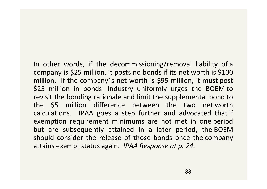In other words, if the decommissioning/removal liability of a company is \$25 million, it posts no bonds if its net worth is \$100 million. If the company's net worth is \$95 million, it must post \$25 million in bonds. Industry uniformly urges the BOEM to revisit the bonding rationale and limit the supplemental bond to the \$5 million difference between the two net worth calculations. IPAA goes a step further and advocated that if exemption requirement minimums are not met in one period but are subsequently attained in a later period, the BOEM should consider the release of those bonds once the company attains exempt status again. *IPAA Response at p. 24.*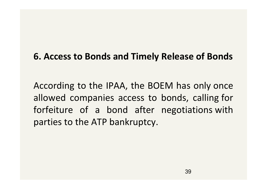### **6. Access to Bonds and Timely Release of Bonds**

According to the IPAA, the BOEM has only once allowed companies access to bonds, calling for forfeiture of a bond after negotiations with parties to the ATP bankruptcy.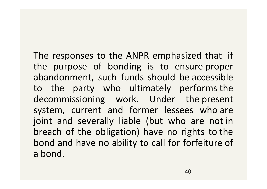The responses to the ANPR emphasized that if the purpose of bonding is to ensure proper abandonment, such funds should be accessible to the party who ultimately performs the decommissioning work. Under the present system, current and former lessees who are joint and severally liable (but who are not in breach of the obligation) have no rights to the bond and have no ability to call for forfeiture of a bond.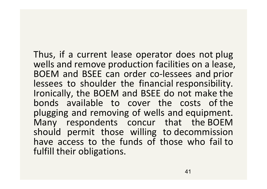Thus, if a current lease operator does not plug wells and remove production facilities on a lease, BOEM and BSEE can order co-lessees and prior lessees to shoulder the financial responsibility. Ironically, the BOEM and BSEE do not make the bonds available to cover the costs of the plugging and removing of wells and equipment. Many respondents concur that the BOEM should permit those willing to decommission have access to the funds of those who fail to fulfill their obligations.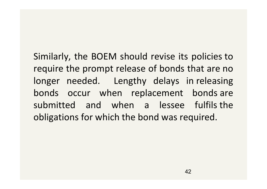Similarly, the BOEM should revise its policies to require the prompt release of bonds that are no longer needed. Lengthy delays in releasing bonds occur when replacement bonds are submitted and when a lessee fulfils the obligations for which the bond was required.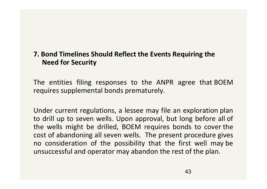### **7. Bond Timelines Should Reflect the Events Requiring the Need for Security**

The entities filing responses to the ANPR agree that BOEM requires supplemental bonds prematurely.

Under current regulations, a lessee may file an exploration plan to drill up to seven wells. Upon approval, but long before all of the wells might be drilled, BOEM requires bonds to cover the cost of abandoning all seven wells. The present procedure gives no consideration of the possibility that the first well may be unsuccessful and operator may abandon the rest of the plan.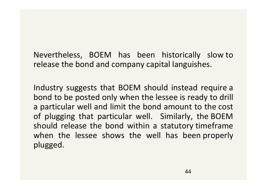Nevertheless, BOEM has been historically slow to release the bond and company capital languishes.

Industry suggests that BOEM should instead require a bond to be posted only when the lessee is ready to drill a particular well and limit the bond amount to the cost of plugging that particular well. Similarly, the BOEM should release the bond within a statutory timeframe when the lessee shows the well has been properly plugged.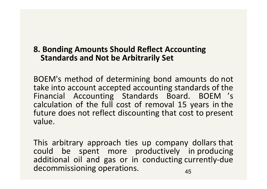### **8. Bonding Amounts Should Reflect Accounting Standards and Not be Arbitrarily Set**

BOEM's method of determining bond amounts do not take into account accepted accounting standards of the Financial Accounting Standards Board. BOEM 's calculation of the full cost of removal 15 years in the future does not reflect discounting that cost to present value.

This arbitrary approach ties up company dollars that could be spent more productively in producing additional oil and gas or in conducting currently-due decommissioning operations. The manufacturer of  $\frac{45}{100}$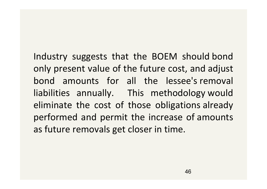Industry suggests that the BOEM should bond only present value of the future cost, and adjust bond amounts for all the lessee's removal liabilities annually. This methodology would eliminate the cost of those obligations already performed and permit the increase of amounts as future removals get closer in time.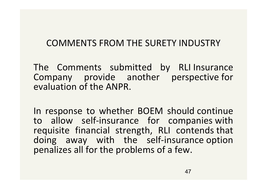### COMMENTS FROM THE SURETY INDUSTRY

The Comments submitted by RLI Insurance Company provide another perspective for evaluation of the ANPR.

In response to whether BOEM should continue to allow self-insurance for companies with requisite financial strength, RLI contends that doing away with the self-insurance option penalizes all for the problems of a few.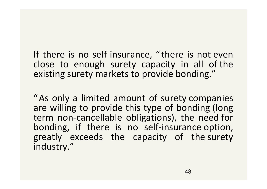If there is no self-insurance, " there is not even close to enough surety capacity in all of the existing surety markets to provide bonding."

"As only a limited amount of surety companies are willing to provide this type of bonding (long term non-cancellable obligations), the need for bonding, if there is no self-insurance option, greatly exceeds the capacity of the surety industry."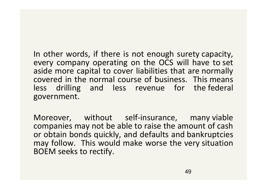In other words, if there is not enough surety capacity, every company operating on the OCS will have to set aside more capital to cover liabilities that are normally covered in the normal course of business. This means less drilling and less revenue for the federal government.

Moreover, without self-insurance, many viable companies may not be able to raise the amount of cash or obtain bonds quickly, and defaults and bankruptcies may follow. This would make worse the very situation BOEM seeks to rectify.